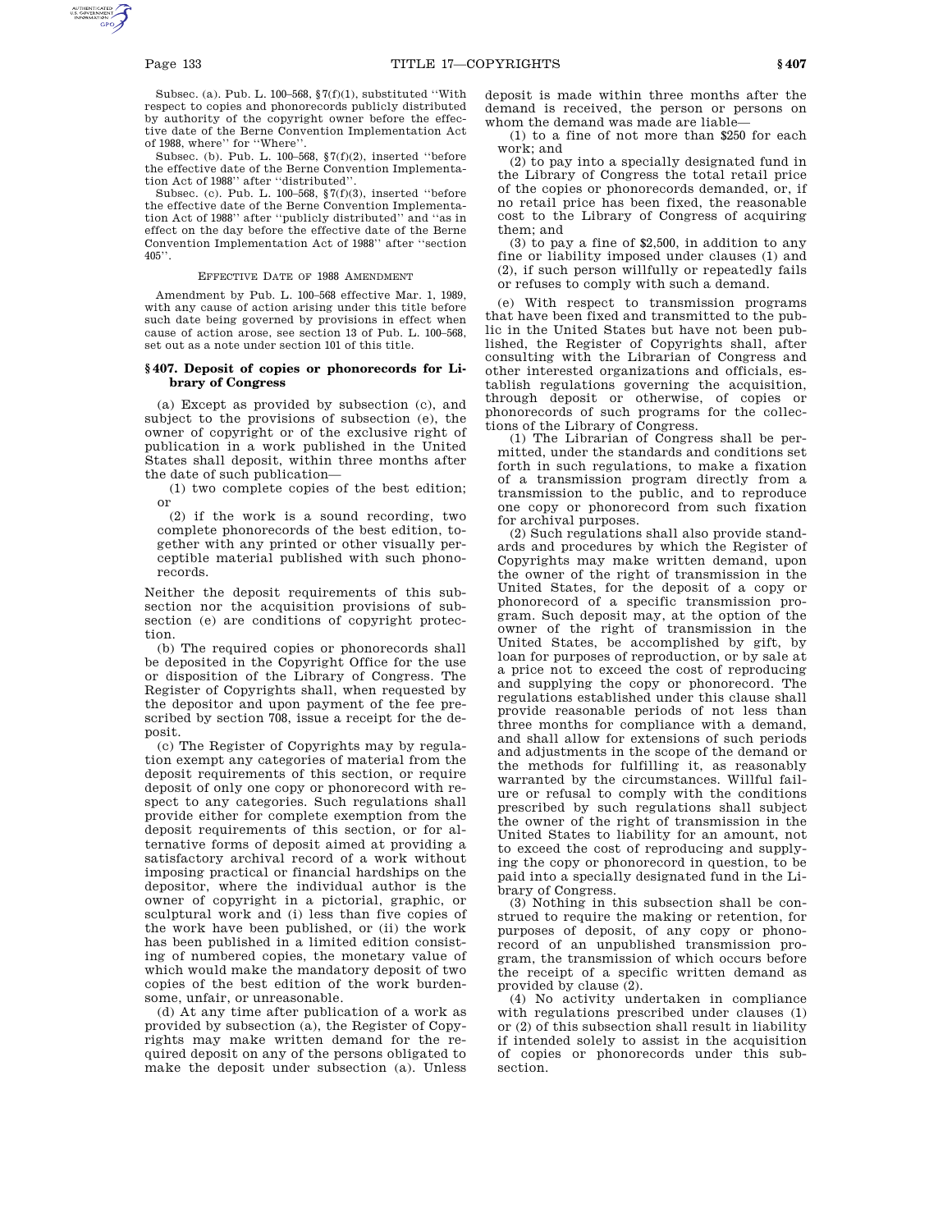Subsec. (a). Pub. L. 100–568,  $\sqrt{7(f)(1)}$ , substituted "With respect to copies and phonorecords publicly distributed by authority of the copyright owner before the effective date of the Berne Convention Implementation Act of 1988, where'' for ''Where''.

Subsec. (b). Pub. L. 100–568, §7(f)(2), inserted ''before the effective date of the Berne Convention Implementation Act of 1988'' after ''distributed''.

Subsec. (c). Pub. L. 100–568, §7(f)(3), inserted ''before the effective date of the Berne Convention Implementation Act of 1988'' after ''publicly distributed'' and ''as in effect on the day before the effective date of the Berne Convention Implementation Act of 1988'' after ''section  $405$ ".

### EFFECTIVE DATE OF 1988 AMENDMENT

Amendment by Pub. L. 100–568 effective Mar. 1, 1989, with any cause of action arising under this title before such date being governed by provisions in effect when cause of action arose, see section 13 of Pub. L. 100–568, set out as a note under section 101 of this title.

# **§ 407. Deposit of copies or phonorecords for Library of Congress**

(a) Except as provided by subsection (c), and subject to the provisions of subsection (e), the owner of copyright or of the exclusive right of publication in a work published in the United States shall deposit, within three months after the date of such publication—

(1) two complete copies of the best edition; or

(2) if the work is a sound recording, two complete phonorecords of the best edition, together with any printed or other visually perceptible material published with such phonorecords.

Neither the deposit requirements of this subsection nor the acquisition provisions of subsection (e) are conditions of copyright protection.

(b) The required copies or phonorecords shall be deposited in the Copyright Office for the use or disposition of the Library of Congress. The Register of Copyrights shall, when requested by the depositor and upon payment of the fee prescribed by section 708, issue a receipt for the deposit.

(c) The Register of Copyrights may by regulation exempt any categories of material from the deposit requirements of this section, or require deposit of only one copy or phonorecord with respect to any categories. Such regulations shall provide either for complete exemption from the deposit requirements of this section, or for alternative forms of deposit aimed at providing a satisfactory archival record of a work without imposing practical or financial hardships on the depositor, where the individual author is the owner of copyright in a pictorial, graphic, or sculptural work and (i) less than five copies of the work have been published, or (ii) the work has been published in a limited edition consisting of numbered copies, the monetary value of which would make the mandatory deposit of two copies of the best edition of the work burdensome, unfair, or unreasonable.

(d) At any time after publication of a work as provided by subsection (a), the Register of Copyrights may make written demand for the required deposit on any of the persons obligated to make the deposit under subsection (a). Unless deposit is made within three months after the demand is received, the person or persons on whom the demand was made are liable—

(1) to a fine of not more than \$250 for each work; and

(2) to pay into a specially designated fund in the Library of Congress the total retail price of the copies or phonorecords demanded, or, if no retail price has been fixed, the reasonable cost to the Library of Congress of acquiring them; and

(3) to pay a fine of \$2,500, in addition to any fine or liability imposed under clauses (1) and (2), if such person willfully or repeatedly fails or refuses to comply with such a demand.

(e) With respect to transmission programs that have been fixed and transmitted to the public in the United States but have not been published, the Register of Copyrights shall, after consulting with the Librarian of Congress and other interested organizations and officials, establish regulations governing the acquisition, through deposit or otherwise, of copies or phonorecords of such programs for the collections of the Library of Congress.

(1) The Librarian of Congress shall be permitted, under the standards and conditions set forth in such regulations, to make a fixation of a transmission program directly from a transmission to the public, and to reproduce one copy or phonorecord from such fixation for archival purposes.

(2) Such regulations shall also provide standards and procedures by which the Register of Copyrights may make written demand, upon the owner of the right of transmission in the United States, for the deposit of a copy or phonorecord of a specific transmission program. Such deposit may, at the option of the owner of the right of transmission in the United States, be accomplished by gift, by loan for purposes of reproduction, or by sale at a price not to exceed the cost of reproducing and supplying the copy or phonorecord. The regulations established under this clause shall provide reasonable periods of not less than three months for compliance with a demand, and shall allow for extensions of such periods and adjustments in the scope of the demand or the methods for fulfilling it, as reasonably warranted by the circumstances. Willful failure or refusal to comply with the conditions prescribed by such regulations shall subject the owner of the right of transmission in the United States to liability for an amount, not to exceed the cost of reproducing and supplying the copy or phonorecord in question, to be paid into a specially designated fund in the Library of Congress.

(3) Nothing in this subsection shall be construed to require the making or retention, for purposes of deposit, of any copy or phonorecord of an unpublished transmission program, the transmission of which occurs before the receipt of a specific written demand as provided by clause (2).

(4) No activity undertaken in compliance with regulations prescribed under clauses (1) or (2) of this subsection shall result in liability if intended solely to assist in the acquisition of copies or phonorecords under this subsection.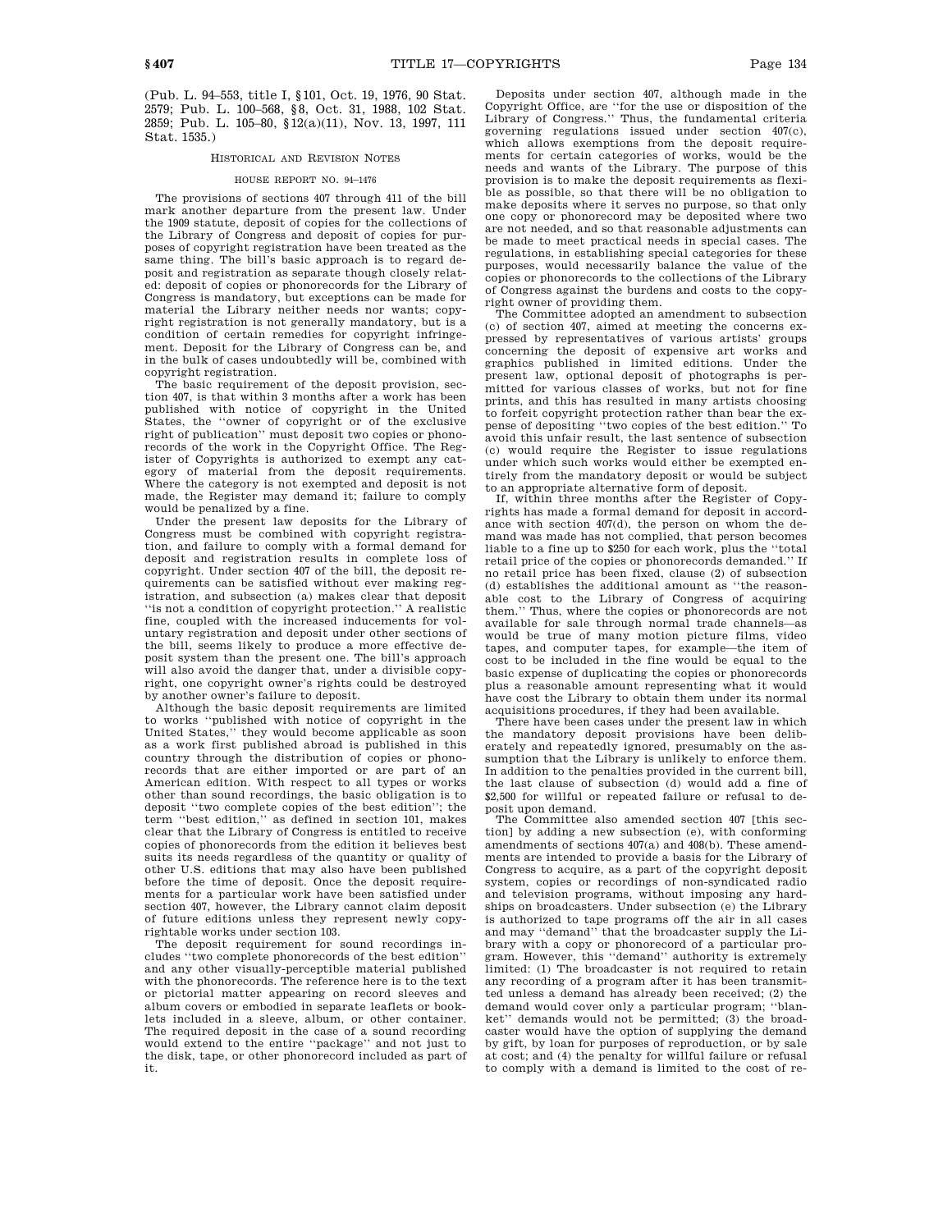(Pub. L. 94–553, title I, §101, Oct. 19, 1976, 90 Stat. 2579; Pub. L. 100–568, §8, Oct. 31, 1988, 102 Stat. 2859; Pub. L. 105–80, §12(a)(11), Nov. 13, 1997, 111 Stat. 1535.)

# HISTORICAL AND REVISION NOTES

### HOUSE REPORT NO. 94–1476

The provisions of sections 407 through 411 of the bill mark another departure from the present law. Under the 1909 statute, deposit of copies for the collections of the Library of Congress and deposit of copies for purposes of copyright registration have been treated as the same thing. The bill's basic approach is to regard deposit and registration as separate though closely related: deposit of copies or phonorecords for the Library of Congress is mandatory, but exceptions can be made for material the Library neither needs nor wants; copyright registration is not generally mandatory, but is a condition of certain remedies for copyright infringement. Deposit for the Library of Congress can be, and in the bulk of cases undoubtedly will be, combined with copyright registration.

The basic requirement of the deposit provision, section 407, is that within 3 months after a work has been published with notice of copyright in the United States, the ''owner of copyright or of the exclusive right of publication'' must deposit two copies or phonorecords of the work in the Copyright Office. The Register of Copyrights is authorized to exempt any category of material from the deposit requirements. Where the category is not exempted and deposit is not made, the Register may demand it; failure to comply would be penalized by a fine.

Under the present law deposits for the Library of Congress must be combined with copyright registration, and failure to comply with a formal demand for deposit and registration results in complete loss of copyright. Under section 407 of the bill, the deposit requirements can be satisfied without ever making registration, and subsection (a) makes clear that deposit ''is not a condition of copyright protection.'' A realistic fine, coupled with the increased inducements for voluntary registration and deposit under other sections of the bill, seems likely to produce a more effective deposit system than the present one. The bill's approach will also avoid the danger that, under a divisible copyright, one copyright owner's rights could be destroyed by another owner's failure to deposit.

Although the basic deposit requirements are limited to works ''published with notice of copyright in the United States,'' they would become applicable as soon as a work first published abroad is published in this country through the distribution of copies or phonorecords that are either imported or are part of an American edition. With respect to all types or works other than sound recordings, the basic obligation is to deposit ''two complete copies of the best edition''; the term ''best edition,'' as defined in section 101, makes clear that the Library of Congress is entitled to receive copies of phonorecords from the edition it believes best suits its needs regardless of the quantity or quality of other U.S. editions that may also have been published before the time of deposit. Once the deposit requirements for a particular work have been satisfied under section 407, however, the Library cannot claim deposit of future editions unless they represent newly copyrightable works under section 103.

The deposit requirement for sound recordings includes ''two complete phonorecords of the best edition'' and any other visually-perceptible material published with the phonorecords. The reference here is to the text or pictorial matter appearing on record sleeves and album covers or embodied in separate leaflets or booklets included in a sleeve, album, or other container. The required deposit in the case of a sound recording would extend to the entire ''package'' and not just to the disk, tape, or other phonorecord included as part of it.

Deposits under section 407, although made in the Copyright Office, are ''for the use or disposition of the Library of Congress.'' Thus, the fundamental criteria governing regulations issued under section 407(c), which allows exemptions from the deposit requirements for certain categories of works, would be the needs and wants of the Library. The purpose of this provision is to make the deposit requirements as flexible as possible, so that there will be no obligation to make deposits where it serves no purpose, so that only one copy or phonorecord may be deposited where two are not needed, and so that reasonable adjustments can be made to meet practical needs in special cases. The regulations, in establishing special categories for these purposes, would necessarily balance the value of the copies or phonorecords to the collections of the Library of Congress against the burdens and costs to the copyright owner of providing them.

The Committee adopted an amendment to subsection (c) of section 407, aimed at meeting the concerns expressed by representatives of various artists' groups concerning the deposit of expensive art works and graphics published in limited editions. Under the present law, optional deposit of photographs is permitted for various classes of works, but not for fine prints, and this has resulted in many artists choosing to forfeit copyright protection rather than bear the expense of depositing ''two copies of the best edition.'' To avoid this unfair result, the last sentence of subsection (c) would require the Register to issue regulations under which such works would either be exempted entirely from the mandatory deposit or would be subject to an appropriate alternative form of deposit.

If, within three months after the Register of Copyrights has made a formal demand for deposit in accordance with section 407(d), the person on whom the demand was made has not complied, that person becomes liable to a fine up to \$250 for each work, plus the ''total retail price of the copies or phonorecords demanded.'' If no retail price has been fixed, clause (2) of subsection (d) establishes the additional amount as ''the reasonable cost to the Library of Congress of acquiring them.'' Thus, where the copies or phonorecords are not available for sale through normal trade channels—as would be true of many motion picture films, video tapes, and computer tapes, for example—the item of cost to be included in the fine would be equal to the basic expense of duplicating the copies or phonorecords plus a reasonable amount representing what it would have cost the Library to obtain them under its normal acquisitions procedures, if they had been available.

There have been cases under the present law in which the mandatory deposit provisions have been deliberately and repeatedly ignored, presumably on the assumption that the Library is unlikely to enforce them. In addition to the penalties provided in the current bill, the last clause of subsection (d) would add a fine of \$2,500 for willful or repeated failure or refusal to deposit upon demand.

The Committee also amended section 407 [this section] by adding a new subsection (e), with conforming amendments of sections 407(a) and 408(b). These amendments are intended to provide a basis for the Library of Congress to acquire, as a part of the copyright deposit system, copies or recordings of non-syndicated radio and television programs, without imposing any hardships on broadcasters. Under subsection (e) the Library is authorized to tape programs off the air in all cases and may ''demand'' that the broadcaster supply the Library with a copy or phonorecord of a particular program. However, this ''demand'' authority is extremely limited: (1) The broadcaster is not required to retain any recording of a program after it has been transmitted unless a demand has already been received; (2) the demand would cover only a particular program; ''blanket'' demands would not be permitted; (3) the broadcaster would have the option of supplying the demand by gift, by loan for purposes of reproduction, or by sale at cost; and (4) the penalty for willful failure or refusal to comply with a demand is limited to the cost of re